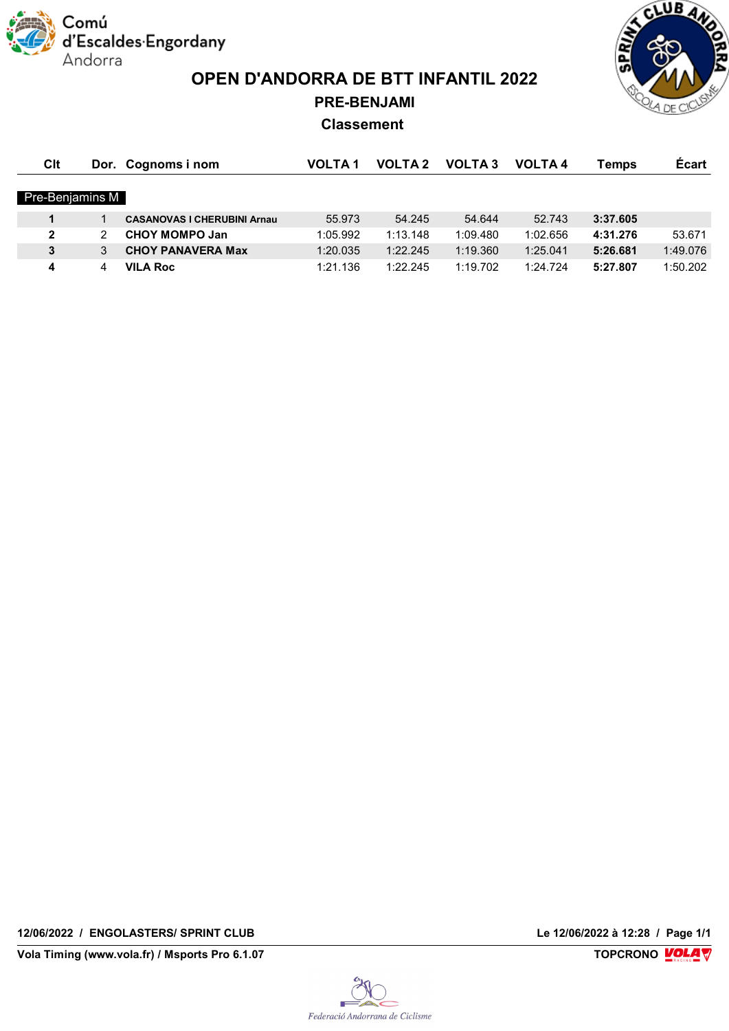

**OPEN D'ANDORRA DE BTT INFANTIL 2022 PRE-BENJAMI**

**CLUB AND** 

## **Classement**

| Clt             |   | Dor. Cognoms i nom                 | <b>VOLTA1</b> | <b>VOLTA 2</b> | <b>VOLTA3</b> | <b>VOLTA4</b> | Temps    | <b>Ecart</b> |
|-----------------|---|------------------------------------|---------------|----------------|---------------|---------------|----------|--------------|
| Pre-Benjamins M |   |                                    |               |                |               |               |          |              |
|                 |   | <b>CASANOVAS I CHERUBINI Arnau</b> | 55.973        | 54.245         | 54.644        | 52.743        | 3:37.605 |              |
| $\overline{2}$  |   | <b>CHOY MOMPO Jan</b>              | 1:05.992      | 1:13.148       | 1:09.480      | 1:02.656      | 4:31.276 | 53.671       |
| 3               | 3 | <b>CHOY PANAVERA Max</b>           | 1:20.035      | 1:22.245       | 1:19.360      | 1:25.041      | 5:26.681 | 1:49.076     |
| 4               | 4 | <b>VILA Roc</b>                    | 1:21.136      | 1:22.245       | 1:19.702      | 1:24.724      | 5:27.807 | 1:50.202     |

**12/06/2022 / ENGOLASTERS/ SPRINT CLUB Le 12/06/2022 à 12:28 / Page 1/1**

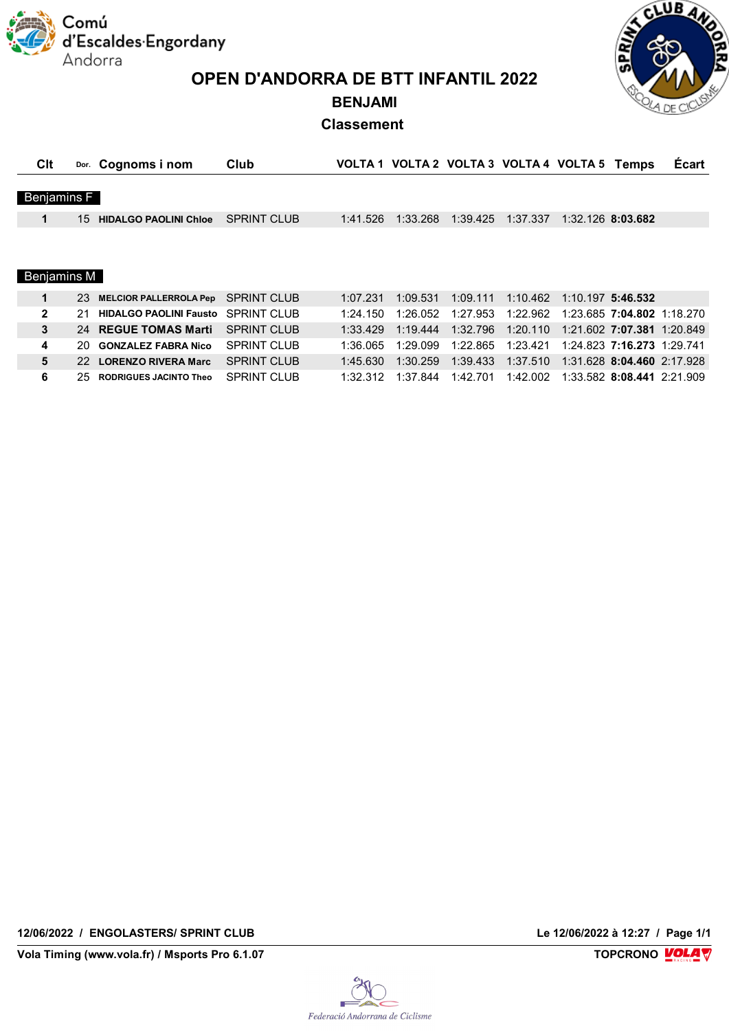Comú econd<br>d'Escaldes Engordany Andorra

**OPEN D'ANDORRA DE BTT INFANTIL 2022**

CLUB AN

## **BENJAMI Classement**

| Clt                |     | Dor. Cognoms i nom                        | Club               |          |          |          | VOLTA 1 VOLTA 2 VOLTA 3 VOLTA 4 VOLTA 5 Temps |                            |                            | <b>Ecart</b>               |
|--------------------|-----|-------------------------------------------|--------------------|----------|----------|----------|-----------------------------------------------|----------------------------|----------------------------|----------------------------|
|                    |     |                                           |                    |          |          |          |                                               |                            |                            |                            |
| <b>Benjamins F</b> |     |                                           |                    |          |          |          |                                               |                            |                            |                            |
| 1                  | 15  | <b>HIDALGO PAOLINI Chloe</b>              | <b>SPRINT CLUB</b> | 1:41.526 | 1:33.268 | 1:39.425 | 1:37.337                                      | 1:32.126 8:03.682          |                            |                            |
|                    |     |                                           |                    |          |          |          |                                               |                            |                            |                            |
|                    |     |                                           |                    |          |          |          |                                               |                            |                            |                            |
|                    |     |                                           |                    |          |          |          |                                               |                            |                            |                            |
| Benjamins M        |     |                                           |                    |          |          |          |                                               |                            |                            |                            |
| 1                  | 23  | <b>MELCIOR PALLERROLA Pep</b>             | <b>SPRINT CLUB</b> | 1:07.231 | 1:09.531 | 1:09.111 | 1:10.462                                      | 1:10.197 5:46.532          |                            |                            |
| $\mathbf{2}$       | 21  | <b>HIDALGO PAOLINI Fausto</b> SPRINT CLUB |                    | 1:24.150 | 1:26.052 | 1:27.953 | 1:22.962                                      |                            | 1:23.685 7:04.802 1:18.270 |                            |
| 3                  | 24  | <b>REGUE TOMAS Marti</b>                  | <b>SPRINT CLUB</b> | 1:33.429 | 1:19.444 | 1:32.796 | 1:20.110                                      |                            |                            | 1:21.602 7:07.381 1:20.849 |
| 4                  | 20. | <b>GONZALEZ FABRA Nico</b>                | <b>SPRINT CLUB</b> | 1:36.065 | 1:29.099 | 1:22.865 | 1:23.421                                      |                            | 1:24.823 7:16.273 1:29.741 |                            |
| 5                  | 22. | <b>LORENZO RIVERA Marc</b>                | <b>SPRINT CLUB</b> | 1:45.630 | 1:30.259 | 1:39.433 | 1:37.510                                      | 1:31.628 8:04.460 2:17.928 |                            |                            |
| 6                  | 25. | <b>RODRIGUES JACINTO Theo</b>             | <b>SPRINT CLUB</b> | 1:32.312 | 1:37.844 | 1:42.701 | 1:42.002                                      |                            | 1:33.582 8:08.441 2:21.909 |                            |

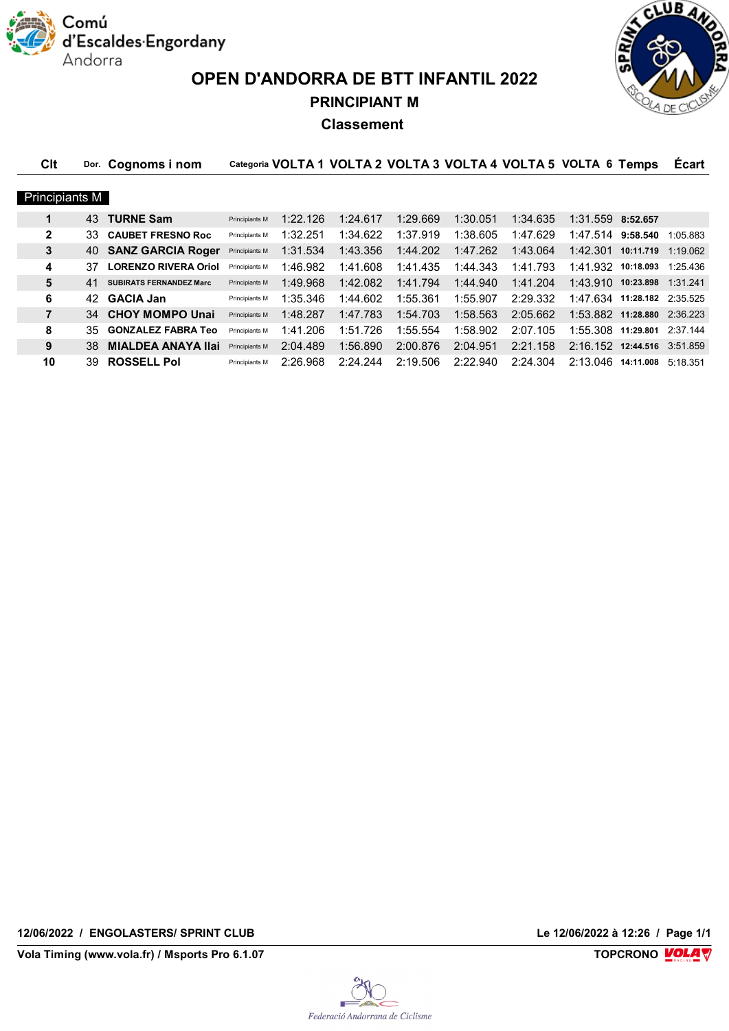

**OPEN D'ANDORRA DE BTT INFANTIL 2022 PRINCIPIANT M**



## **Classement**

| Clt            |     | Dor. Cognoms i nom             |                |          | Categoria VOLTA 1 VOLTA 2 VOLTA 3 VOLTA 4 VOLTA 5 VOLTA 6 Temps |          |          |          |                             |                    | <b>Ecart</b> |
|----------------|-----|--------------------------------|----------------|----------|-----------------------------------------------------------------|----------|----------|----------|-----------------------------|--------------------|--------------|
|                |     |                                |                |          |                                                                 |          |          |          |                             |                    |              |
| Principiants M |     |                                |                |          |                                                                 |          |          |          |                             |                    |              |
| 1              | 43  | <b>TURNE Sam</b>               | Principiants M | 1:22.126 | 1:24.617                                                        | 1:29.669 | 1:30.051 | 1:34.635 | $1:31.559$ 8:52.657         |                    |              |
| $\mathbf{2}$   | 33  | <b>CAUBET FRESNO Roc</b>       | Principiants M | 1:32.251 | 1:34.622                                                        | 1:37.919 | 1:38.605 | 1:47.629 | 1:47.514 9:58.540           |                    | 1:05.883     |
| 3              |     | 40 SANZ GARCIA Roger           | Principiants M | 1:31.534 | 1:43.356                                                        | 1:44.202 | 1:47.262 | 1:43.064 | 1:42.301                    | 10:11.719 1:19.062 |              |
| 4              | 37  | <b>LORENZO RIVERA Oriol</b>    | Principiants M | 1:46.982 | 1:41.608                                                        | 1:41.435 | 1:44.343 | 1:41.793 | 1:41.932                    | 10:18.093          | 1:25.436     |
| 5              | 41  | <b>SUBIRATS FERNANDEZ Marc</b> | Principiants M | 1:49.968 | 1:42.082                                                        | 1:41.794 | 1:44.940 | 1:41.204 | 1:43.910 10:23.898 1:31.241 |                    |              |
| 6              | 42  | <b>GACIA Jan</b>               | Principiants M | 1:35.346 | 1:44.602                                                        | 1:55.361 | 1:55.907 | 2:29.332 | 1:47.634 11:28.182 2:35.525 |                    |              |
| $\overline{7}$ |     | 34 CHOY MOMPO Unai             | Principiants M | 1:48.287 | 1:47.783                                                        | 1:54.703 | 1:58.563 | 2:05.662 | 1:53.882 11:28.880 2:36.223 |                    |              |
| 8              | 35. | <b>GONZALEZ FABRA Teo</b>      | Principiants M | 1:41.206 | 1:51.726                                                        | 1:55.554 | 1:58.902 | 2:07.105 | 1:55.308 11:29.801 2:37.144 |                    |              |
| 9              | 38  | <b>MIALDEA ANAYA Ilai</b>      | Principiants M | 2:04.489 | 1:56.890                                                        | 2:00.876 | 2:04.951 | 2:21.158 | 2:16.152                    | 12:44.516 3:51.859 |              |
| 10             | 39  | <b>ROSSELL Pol</b>             | Principiants M | 2:26.968 | 2:24.244                                                        | 2:19.506 | 2:22.940 | 2:24.304 | 2:13.046 14:11.008 5:18.351 |                    |              |

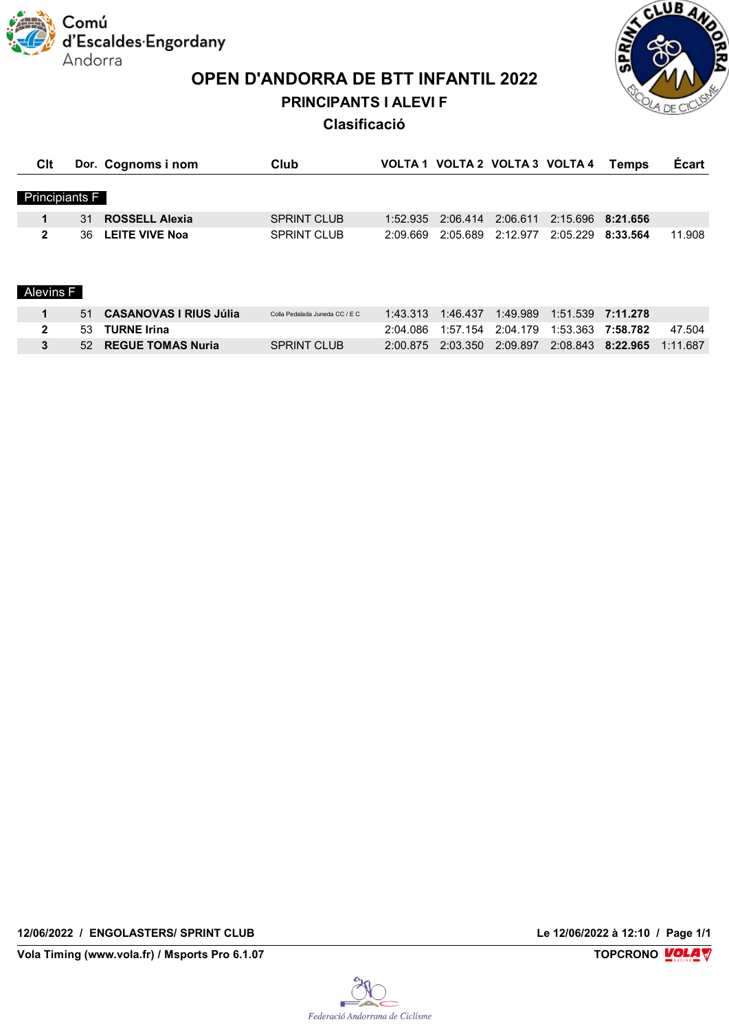Comú d'Escaldes·Engordany Andorra

**OPEN D'ANDORRA DE BTT INFANTIL 2022**

**PRINCIPANTS I ALEVI F**



**Clasificació**

| Clt                   |    | Dor. Cognoms i nom            | Club                           |          | VOLTA 1 VOLTA 2 VOLTA 3 VOLTA 4 |          |   | <b>Temps</b>      | <b>Écart</b> |
|-----------------------|----|-------------------------------|--------------------------------|----------|---------------------------------|----------|---|-------------------|--------------|
| <b>Principiants F</b> |    |                               |                                |          |                                 |          |   |                   |              |
|                       | 31 | <b>ROSSELL Alexia</b>         | <b>SPRINT CLUB</b>             | 1:52.935 | 2:06.414                        | 2:06.611 |   | 2:15.696 8:21.656 |              |
| $\mathbf{2}$          | 36 | <b>LEITE VIVE Noa</b>         | <b>SPRINT CLUB</b>             | 2:09.669 | 2:05.689                        | 2:12.977 |   | 2:05.229 8:33.564 | 11.908       |
|                       |    |                               |                                |          |                                 |          |   |                   |              |
|                       |    |                               |                                |          |                                 |          |   |                   |              |
| Alevins F             |    |                               |                                |          |                                 |          |   |                   |              |
| 1                     | 51 | <b>CASANOVAS I RIUS Júlia</b> | Colla Pedalada Juneda CC / E C | 1:43.313 | 1:46.437                        | 1:49.989 |   |                   |              |
|                       |    |                               |                                |          |                                 |          | . |                   |              |

| 53 TURNE Irina       |                    |  | 2:04.086 1:57.154 2:04.179 1:53.363 7:58.782 47.504   |  |  |
|----------------------|--------------------|--|-------------------------------------------------------|--|--|
| 52 REGUE TOMAS Nuria | <b>SPRINT CLUB</b> |  | 2:00.875 2:03.350 2:09.897 2:08.843 8:22.965 1:11.687 |  |  |

**12/06/2022 / ENGOLASTERS/ SPRINT CLUB Le 12/06/2022 à 12:10 / Page 1/1**